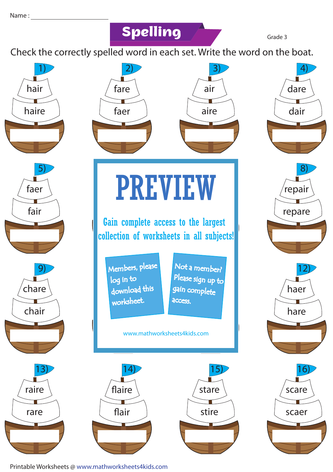### **Spelling Grade 3**

Check the correctly spelled word in each set. Write the word on the boat.



Printable Worksheets @ www.mathworksheets4kids.com